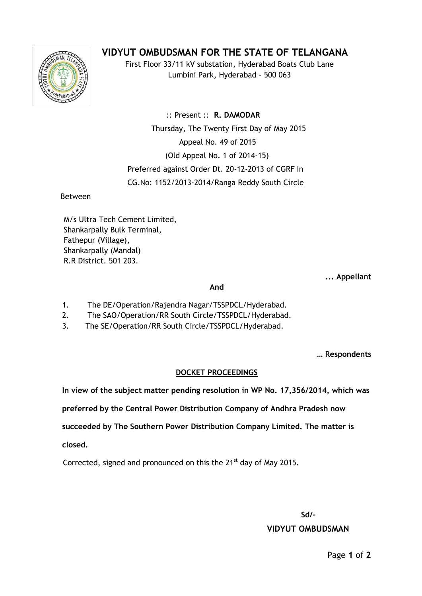# **VIDYUT OMBUDSMAN FOR THE STATE OF TELANGANA**



First Floor 33/11 kV substation, Hyderabad Boats Club Lane Lumbini Park, Hyderabad - 500 063

 :: Present :: **R. DAMODAR** Thursday, The Twenty First Day of May 2015 Appeal No. 49 of 2015 (Old Appeal No. 1 of 2014-15) Preferred against Order Dt. 20-12-2013 of CGRF In CG.No: 1152/2013-2014/Ranga Reddy South Circle

Between

M/s Ultra Tech Cement Limited, Shankarpally Bulk Terminal, Fathepur (Village), Shankarpally (Mandal) R.R District. 501 203.

**... Appellant**

#### **And**

- 1. The DE/Operation/Rajendra Nagar/TSSPDCL/Hyderabad.
- 2. The SAO/Operation/RR South Circle/TSSPDCL/Hyderabad.
- 3. 3. The SE/Operation/RR South Circle/TSSPDCL/Hyderabad.

**… Respondents**

# **DOCKET PROCEEDINGS**

**In view of the subject matter pending resolution in WP No. 17,356/2014, which was**

**preferred by the Central Power Distribution Company of Andhra Pradesh now** 

**succeeded by The Southern Power Distribution Company Limited. The matter is** 

**closed.**

Corrected, signed and pronounced on this the  $21^{st}$  day of May 2015.

**Sd/-**

# **VIDYUT OMBUDSMAN**

Page **1** of **2**